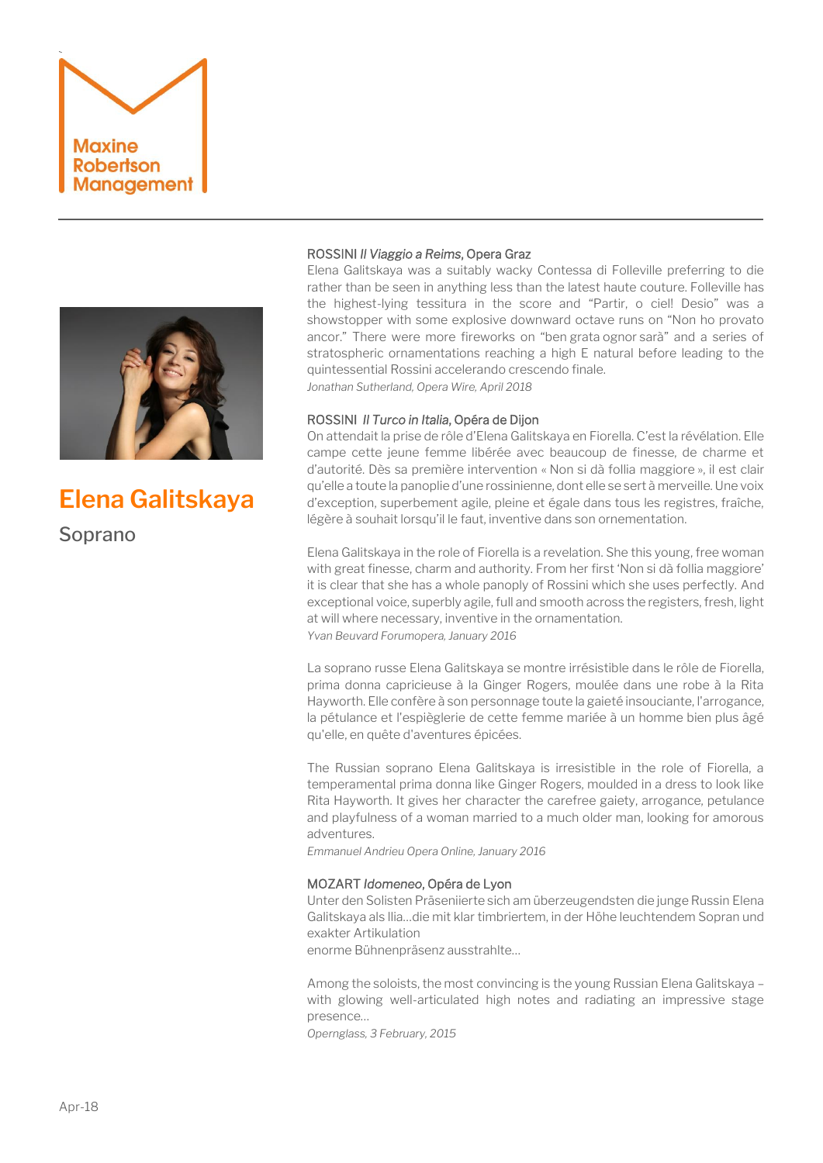



# **Elena Galitskaya**

Soprano

# ROSSINI *Il Viaggio a Reims*, Opera Graz

Elena Galitskaya was a suitably wacky Contessa di Folleville preferring to die rather than be seen in anything less than the latest haute couture. Folleville has the highest-lying tessitura in the score and "Partir, o ciel! Desio" was a showstopper with some explosive downward octave runs on "Non ho provato ancor." There were more fireworks on "ben grata ognor sarà" and a series of stratospheric ornamentations reaching a high E natural before leading to the quintessential Rossini accelerando crescendo finale. *Jonathan Sutherland, Opera Wire, April 2018*

## ROSSINI *Il Turco in Italia*, Opéra de Dijon

On attendait la prise de rôle d'Elena Galitskaya en Fiorella. C'est la révélation. Elle campe cette jeune femme libérée avec beaucoup de finesse, de charme et d'autorité. Dès sa première intervention « Non si dà follia maggiore », il est clair qu'elle a toute la panoplie d'une rossinienne, dont elle se sert à merveille. Une voix d'exception, superbement agile, pleine et égale dans tous les registres, fraîche, légère à souhait lorsqu'il le faut, inventive dans son ornementation.

Elena Galitskaya in the role of Fiorella is a revelation. She this young, free woman with great finesse, charm and authority. From her first 'Non si dà follia maggiore' it is clear that she has a whole panoply of Rossini which she uses perfectly. And exceptional voice, superbly agile, full and smooth across the registers, fresh, light at will where necessary, inventive in the ornamentation. *Yvan Beuvard Forumopera, January 2016*

La soprano russe Elena Galitskaya se montre irrésistible dans le rôle de Fiorella, prima donna capricieuse à la Ginger Rogers, moulée dans une robe à la Rita Hayworth. Elle confère à son personnage toute la gaieté insouciante, l'arrogance, la pétulance et l'espièglerie de cette femme mariée à un homme bien plus âgé qu'elle, en quête d'aventures épicées.

The Russian soprano Elena Galitskaya is irresistible in the role of Fiorella, a temperamental prima donna like Ginger Rogers, moulded in a dress to look like Rita Hayworth. It gives her character the carefree gaiety, arrogance, petulance and playfulness of a woman married to a much older man, looking for amorous adventures.

*Emmanuel Andrieu Opera Online, January 2016*

## MOZART *Idomeneo*, Opéra de Lyon

Unter den Solisten Präseniierte sich am überzeugendsten die junge Russin Elena Galitskaya als llia…die mit klar timbriertem, in der Höhe leuchtendem Sopran und exakter Artikulation

enorme Bühnenpräsenz ausstrahlte…

Among the soloists, the most convincing is the young Russian Elena Galitskaya – with glowing well-articulated high notes and radiating an impressive stage presence…

*Opernglass, 3 February, 2015*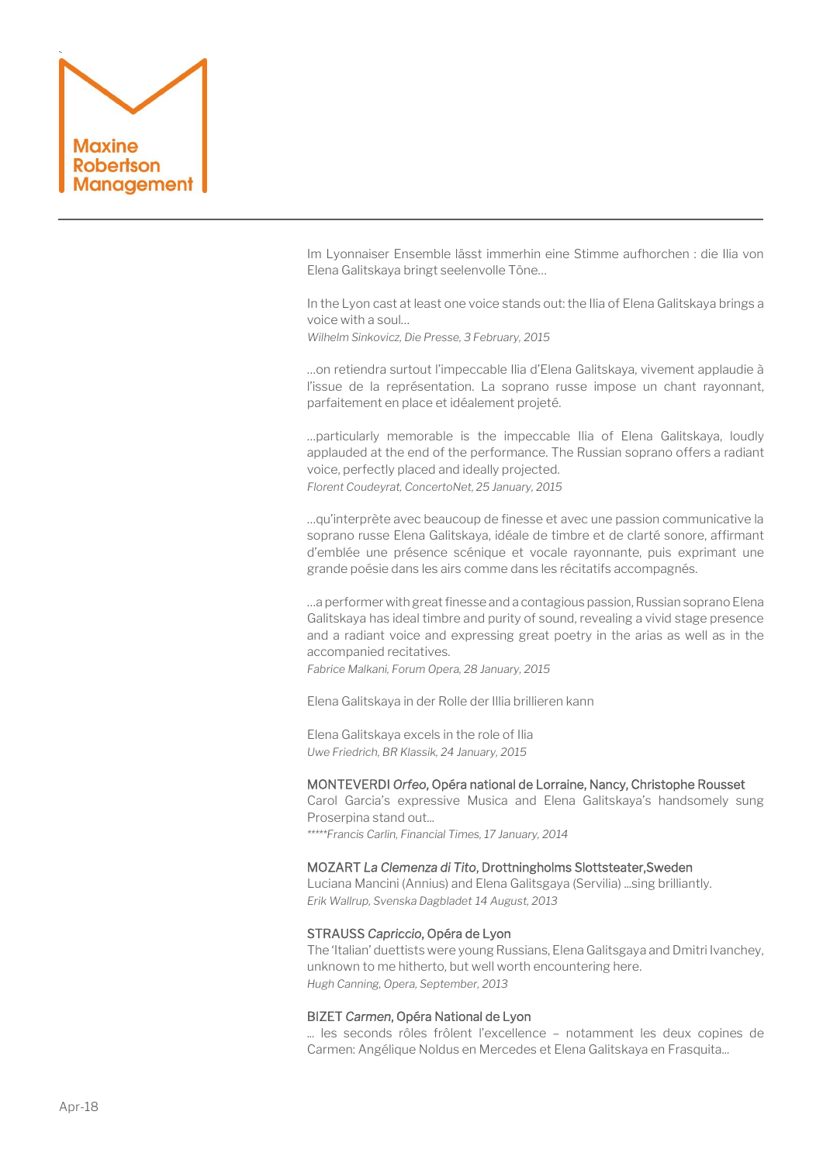

Im Lyonnaiser Ensemble lässt immerhin eine Stimme aufhorchen : die Ilia von Elena Galitskaya bringt seelenvolle Töne…

In the Lyon cast at least one voice stands out: the Ilia of Elena Galitskaya brings a voice with a soul…

*Wilhelm Sinkovicz, Die Presse, 3 February, 2015*

…on retiendra surtout l'impeccable Ilia d'Elena Galitskaya, vivement applaudie à l'issue de la représentation. La soprano russe impose un chant rayonnant, parfaitement en place et idéalement projeté.

…particularly memorable is the impeccable Ilia of Elena Galitskaya, loudly applauded at the end of the performance. The Russian soprano offers a radiant voice, perfectly placed and ideally projected. *Florent Coudeyrat, ConcertoNet, 25 January, 2015*

…qu'interprète avec beaucoup de finesse et avec une passion communicative la soprano russe Elena Galitskaya, idéale de timbre et de clarté sonore, affirmant d'emblée une présence scénique et vocale rayonnante, puis exprimant une grande poésie dans les airs comme dans les récitatifs accompagnés.

…a performer with great finesse and a contagious passion, Russian soprano Elena Galitskaya has ideal timbre and purity of sound, revealing a vivid stage presence and a radiant voice and expressing great poetry in the arias as well as in the accompanied recitatives.

*Fabrice Malkani, Forum Opera, 28 January, 2015*

Elena Galitskaya in der Rolle der Illia brillieren kann

Elena Galitskaya excels in the role of Ilia *Uwe Friedrich, BR Klassik, 24 January, 2015*

# MONTEVERDI *Orfeo*, Opéra national de Lorraine, Nancy, Christophe Rousset

Carol Garcia's expressive Musica and Elena Galitskaya's handsomely sung Proserpina stand out...

*\*\*\*\*\*Francis Carlin, Financial Times, 17 January, 2014*

### MOZART *La Clemenza di Tito*, Drottningholms Slottsteater,Sweden

Luciana Mancini (Annius) and Elena Galitsgaya (Servilia) ...sing brilliantly. *Erik Wallrup, Svenska Dagbladet 14 August, 2013*

#### STRAUSS *Capriccio*, Opéra de Lyon

The 'Italian' duettists were young Russians, Elena Galitsgaya and Dmitri Ivanchey, unknown to me hitherto, but well worth encountering here. *Hugh Canning, Opera, September, 2013*

#### BIZET *Carmen*, Opéra National de Lyon

... les seconds rôles frôlent l'excellence – notamment les deux copines de Carmen: Angélique Noldus en Mercedes et Elena Galitskaya en Frasquita...